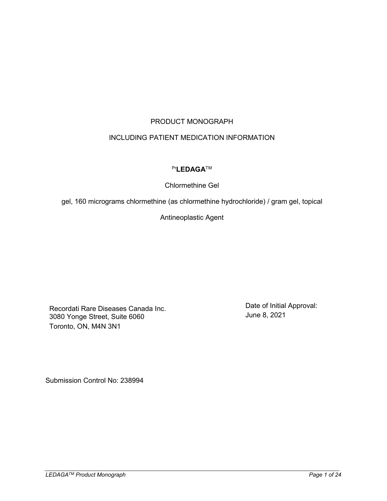# PRODUCT MONOGRAPH

# INCLUDING PATIENT MEDICATION INFORMATION

# Pr**LEDAGA**TM

# Chlormethine Gel

gel, 160 micrograms chlormethine (as chlormethine hydrochloride) / gram gel, topical

Antineoplastic Agent

Recordati Rare Diseases Canada Inc. 3080 Yonge Street, Suite 6060 Toronto, ON, M4N 3N1

Date of Initial Approval: June 8, 2021

Submission Control No: 238994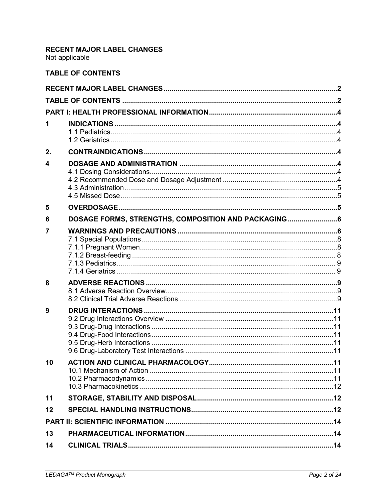# <span id="page-1-0"></span>RECENT MAJOR LABEL CHANGES

Not applicable

# <span id="page-1-1"></span>**TABLE OF CONTENTS**

| 1  |                                                     |  |
|----|-----------------------------------------------------|--|
| 2. |                                                     |  |
| 4  |                                                     |  |
| 5  |                                                     |  |
| 6  | DOSAGE FORMS, STRENGTHS, COMPOSITION AND PACKAGING6 |  |
| 7  |                                                     |  |
| 8  |                                                     |  |
| 9  |                                                     |  |
| 10 |                                                     |  |
| 11 |                                                     |  |
| 12 |                                                     |  |
|    |                                                     |  |
| 13 |                                                     |  |
| 14 |                                                     |  |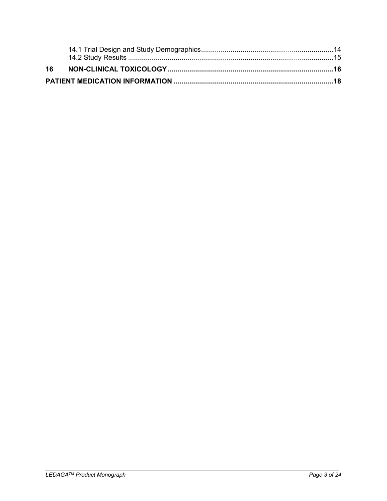| 16 |  |
|----|--|
|    |  |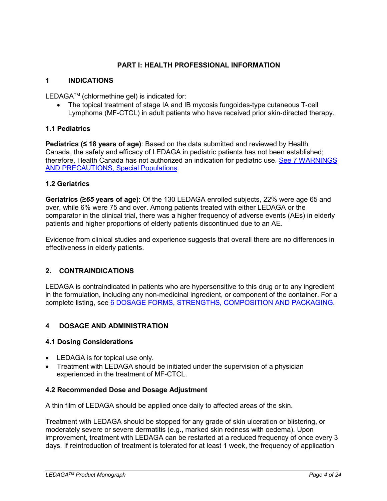## **PART I: HEALTH PROFESSIONAL INFORMATION**

## <span id="page-3-1"></span><span id="page-3-0"></span>**1 INDICATIONS**

LEDAGATM (chlormethine gel) is indicated for:

The topical treatment of stage IA and IB mycosis fungoides-type cutaneous T-cell Lymphoma (MF-CTCL) in adult patients who have received prior skin‐directed therapy.

## <span id="page-3-2"></span>**1.1 Pediatrics**

**Pediatrics (≤ 18 years of age)**: Based on the data submitted and reviewed by Health Canada, the safety and efficacy of LEDAGA in pediatric patients has not been established; therefore, Health Canada has not authorized an indication for pediatric use. See 7 [WARNINGS](#page-7-0)  [AND PRECAUTIONS, Special Populations.](#page-7-0)

## <span id="page-3-3"></span>**1.2 Geriatrics**

**Geriatrics (≥***65* **years of age):** Of the 130 LEDAGA enrolled subjects, 22% were age 65 and over, while 6% were 75 and over. Among patients treated with either LEDAGA or the comparator in the clinical trial, there was a higher frequency of adverse events (AEs) in elderly patients and higher proportions of elderly patients discontinued due to an AE.

Evidence from clinical studies and experience suggests that overall there are no differences in effectiveness in elderly patients.

## <span id="page-3-4"></span>**2. CONTRAINDICATIONS**

LEDAGA is contraindicated in patients who are hypersensitive to this drug or to any ingredient in the formulation, including any non-medicinal ingredient, or component of the container. For a complete listing, see 6 [DOSAGE FORMS, STRENGTHS, COMPOSITION AND PACKAGING.](#page-5-0)

## <span id="page-3-5"></span>**4 DOSAGE AND ADMINISTRATION**

## <span id="page-3-6"></span>**4.1 Dosing Considerations**

- LEDAGA is for topical use only.
- Treatment with LEDAGA should be initiated under the supervision of a physician experienced in the treatment of MF-CTCL.

## <span id="page-3-7"></span>**4.2 Recommended Dose and Dosage Adjustment**

A thin film of LEDAGA should be applied once daily to affected areas of the skin.

Treatment with LEDAGA should be stopped for any grade of skin ulceration or blistering, or moderately severe or severe dermatitis (e.g., marked skin redness with oedema). Upon improvement, treatment with LEDAGA can be restarted at a reduced frequency of once every 3 days. If reintroduction of treatment is tolerated for at least 1 week, the frequency of application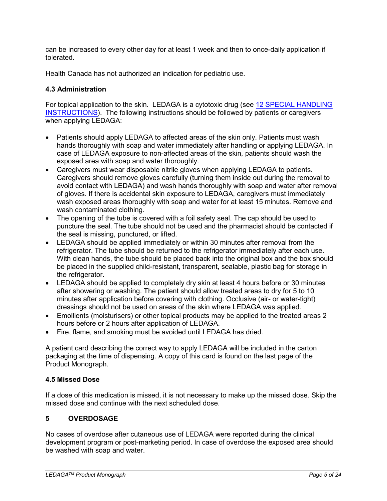can be increased to every other day for at least 1 week and then to once-daily application if tolerated.

Health Canada has not authorized an indication for pediatric use.

# <span id="page-4-0"></span>**4.3 Administration**

For topical application to the skin. LEDAGA is a cytotoxic drug (see [12 SPECIAL HANDLING](#page-11-2)  [INSTRUCTIONS\)](#page-11-2). The following instructions should be followed by patients or caregivers when applying LEDAGA:

- Patients should apply LEDAGA to affected areas of the skin only. Patients must wash hands thoroughly with soap and water immediately after handling or applying LEDAGA. In case of LEDAGA exposure to non-affected areas of the skin, patients should wash the exposed area with soap and water thoroughly.
- Caregivers must wear disposable nitrile gloves when applying LEDAGA to patients. Caregivers should remove gloves carefully (turning them inside out during the removal to avoid contact with LEDAGA) and wash hands thoroughly with soap and water after removal of gloves. If there is accidental skin exposure to LEDAGA, caregivers must immediately wash exposed areas thoroughly with soap and water for at least 15 minutes. Remove and wash contaminated clothing.
- The opening of the tube is covered with a foil safety seal. The cap should be used to puncture the seal. The tube should not be used and the pharmacist should be contacted if the seal is missing, punctured, or lifted.
- LEDAGA should be applied immediately or within 30 minutes after removal from the refrigerator. The tube should be returned to the refrigerator immediately after each use. With clean hands, the tube should be placed back into the original box and the box should be placed in the supplied child-resistant, transparent, sealable, plastic bag for storage in the refrigerator.
- LEDAGA should be applied to completely dry skin at least 4 hours before or 30 minutes after showering or washing. The patient should allow treated areas to dry for 5 to 10 minutes after application before covering with clothing. Occlusive (air- or water-tight) dressings should not be used on areas of the skin where LEDAGA was applied.
- Emollients (moisturisers) or other topical products may be applied to the treated areas 2 hours before or 2 hours after application of LEDAGA.
- Fire, flame, and smoking must be avoided until LEDAGA has dried.

A patient card describing the correct way to apply LEDAGA will be included in the carton packaging at the time of dispensing. A copy of this card is found on the last page of the Product Monograph.

# <span id="page-4-1"></span>**4.5 Missed Dose**

If a dose of this medication is missed, it is not necessary to make up the missed dose. Skip the missed dose and continue with the next scheduled dose.

# <span id="page-4-2"></span>**5 OVERDOSAGE**

No cases of overdose after cutaneous use of LEDAGA were reported during the clinical development program or post-marketing period. In case of overdose the exposed area should be washed with soap and water.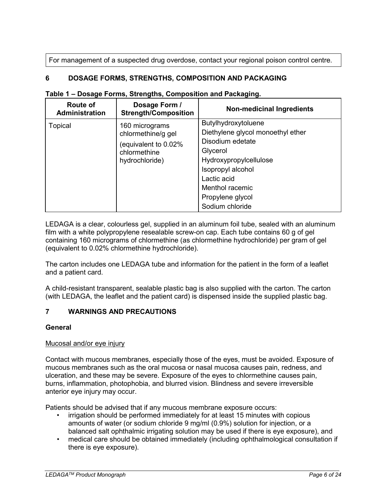For management of a suspected drug overdose, contact your regional poison control centre.

# <span id="page-5-0"></span>**6 DOSAGE FORMS, STRENGTHS, COMPOSITION AND PACKAGING**

| <b>Route of</b><br>Administration | Dosage Form /<br><b>Strength/Composition</b>          | <b>Non-medicinal Ingredients</b>  |
|-----------------------------------|-------------------------------------------------------|-----------------------------------|
| <b>Topical</b>                    | 160 micrograms                                        | Butylhydroxytoluene               |
|                                   | chlormethine/g gel                                    | Diethylene glycol monoethyl ether |
|                                   | equivalent to 0.02%<br>chlormethine<br>hydrochloride) | Disodium edetate                  |
|                                   |                                                       | Glycerol                          |
|                                   |                                                       | Hydroxypropylcellulose            |
|                                   |                                                       | Isopropyl alcohol                 |
|                                   |                                                       | Lactic acid                       |
|                                   |                                                       | Menthol racemic                   |
|                                   |                                                       | Propylene glycol                  |
|                                   |                                                       | Sodium chloride                   |

#### **Table 1 – Dosage Forms, Strengths, Composition and Packaging.**

LEDAGA is a clear, colourless gel, supplied in an aluminum foil tube, sealed with an aluminum film with a white polypropylene resealable screw-on cap. Each tube contains 60 g of gel containing 160 micrograms of chlormethine (as chlormethine hydrochloride) per gram of gel (equivalent to 0.02% chlormethine hydrochloride).

The carton includes one LEDAGA tube and information for the patient in the form of a leaflet and a patient card.

A child-resistant transparent, sealable plastic bag is also supplied with the carton. The carton (with LEDAGA, the leaflet and the patient card) is dispensed inside the supplied plastic bag.

## <span id="page-5-1"></span>**7 WARNINGS AND PRECAUTIONS**

## **General**

## Mucosal and/or eye injury

Contact with mucous membranes, especially those of the eyes, must be avoided. Exposure of mucous membranes such as the oral mucosa or nasal mucosa causes pain, redness, and ulceration, and these may be severe. Exposure of the eyes to chlormethine causes pain, burns, inflammation, photophobia, and blurred vision. Blindness and severe irreversible anterior eye injury may occur.

Patients should be advised that if any mucous membrane exposure occurs:

- irrigation should be performed immediately for at least 15 minutes with copious amounts of water (or sodium chloride 9 mg/ml (0.9%) solution for injection, or a balanced salt ophthalmic irrigating solution may be used if there is eye exposure), and
- medical care should be obtained immediately (including ophthalmological consultation if there is eye exposure).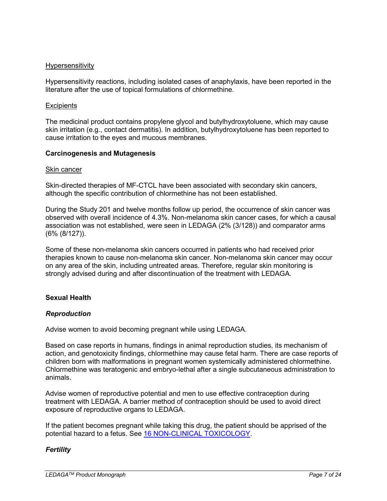#### Hypersensitivity

Hypersensitivity reactions, including isolated cases of anaphylaxis, have been reported in the literature after the use of topical formulations of chlormethine.

#### **Excipients**

The medicinal product contains propylene glycol and butylhydroxytoluene, which may cause skin irritation (e.g., contact dermatitis). In addition, butylhydroxytoluene has been reported to cause irritation to the eyes and mucous membranes.

#### **Carcinogenesis and Mutagenesis**

#### Skin cancer

Skin-directed therapies of MF-CTCL have been associated with secondary skin cancers, although the specific contribution of chlormethine has not been established.

During the Study 201 and twelve months follow up period, the occurrence of skin cancer was observed with overall incidence of 4.3%. Non-melanoma skin cancer cases, for which a causal association was not established, were seen in LEDAGA (2% (3/128)) and comparator arms (6% (8/127)).

Some of these non-melanoma skin cancers occurred in patients who had received prior therapies known to cause non-melanoma skin cancer. Non-melanoma skin cancer may occur on any area of the skin, including untreated areas. Therefore, regular skin monitoring is strongly advised during and after discontinuation of the treatment with LEDAGA.

## **Sexual Health**

## *Reproduction*

Advise women to avoid becoming pregnant while using LEDAGA.

Based on case reports in humans, findings in animal reproduction studies, its mechanism of action, and genotoxicity findings, chlormethine may cause fetal harm. There are case reports of children born with malformations in pregnant women systemically administered chlormethine. Chlormethine was teratogenic and embryo-lethal after a single subcutaneous administration to animals.

Advise women of reproductive potential and men to use effective contraception during treatment with LEDAGA. A barrier method of contraception should be used to avoid direct exposure of reproductive organs to LEDAGA.

If the patient becomes pregnant while taking this drug, the patient should be apprised of the potential hazard to a fetus. See 16 [NON-CLINICAL TOXICOLOGY.](#page-15-0)

## *Fertility*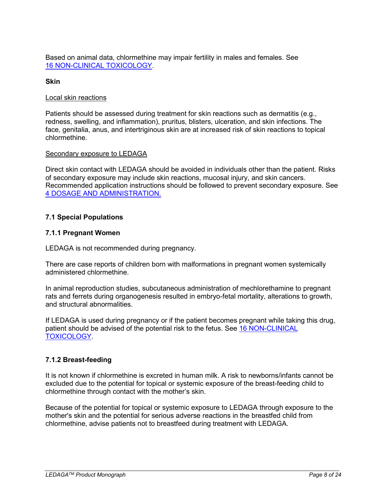Based on animal data, chlormethine may impair fertility in males and females. See 16 [NON-CLINICAL TOXICOLOGY.](#page-15-0)

#### **Skin**

#### Local skin reactions

Patients should be assessed during treatment for skin reactions such as dermatitis (e.g., redness, swelling, and inflammation), pruritus, blisters, ulceration, and skin infections. The face, genitalia, anus, and intertriginous skin are at increased risk of skin reactions to topical chlormethine.

#### Secondary exposure to LEDAGA

Direct skin contact with LEDAGA should be avoided in individuals other than the patient. Risks of secondary exposure may include skin reactions, mucosal injury, and skin cancers. Recommended application instructions should be followed to prevent secondary exposure. See [4 DOSAGE AND ADMINISTRATION.](#page-3-5)

## <span id="page-7-0"></span>**7.1 Special Populations**

## <span id="page-7-1"></span>**7.1.1 Pregnant Women**

LEDAGA is not recommended during pregnancy.

There are case reports of children born with malformations in pregnant women systemically administered chlormethine.

In animal reproduction studies, subcutaneous administration of mechlorethamine to pregnant rats and ferrets during organogenesis resulted in embryo-fetal mortality, alterations to growth, and structural abnormalities.

If LEDAGA is used during pregnancy or if the patient becomes pregnant while taking this drug, patient should be advised of the potential risk to the fetus. See 16 [NON-CLINICAL](#page-15-0)  [TOXICOLOGY.](#page-15-0)

## <span id="page-7-2"></span>**7.1.2 Breast-feeding**

It is not known if chlormethine is excreted in human milk. A risk to newborns/infants cannot be excluded due to the potential for topical or systemic exposure of the breast-feeding child to chlormethine through contact with the mother's skin.

Because of the potential for topical or systemic exposure to LEDAGA through exposure to the mother's skin and the potential for serious adverse reactions in the breastfed child from chlormethine, advise patients not to breastfeed during treatment with LEDAGA.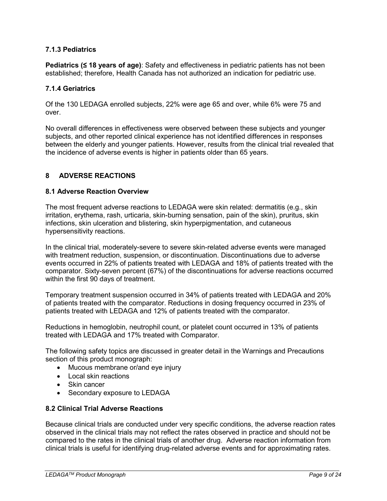# <span id="page-8-0"></span>**7.1.3 Pediatrics**

**Pediatrics (≤ 18 years of age)**: Safety and effectiveness in pediatric patients has not been established; therefore, Health Canada has not authorized an indication for pediatric use.

## <span id="page-8-1"></span>**7.1.4 Geriatrics**

Of the 130 LEDAGA enrolled subjects, 22% were age 65 and over, while 6% were 75 and over.

No overall differences in effectiveness were observed between these subjects and younger subjects, and other reported clinical experience has not identified differences in responses between the elderly and younger patients. However, results from the clinical trial revealed that the incidence of adverse events is higher in patients older than 65 years.

## <span id="page-8-2"></span>**8 ADVERSE REACTIONS**

#### <span id="page-8-3"></span>**8.1 Adverse Reaction Overview**

The most frequent adverse reactions to LEDAGA were skin related: dermatitis (e.g., skin irritation, erythema, rash, urticaria, skin-burning sensation, pain of the skin), pruritus, skin infections, skin ulceration and blistering, skin hyperpigmentation, and cutaneous hypersensitivity reactions.

In the clinical trial, moderately-severe to severe skin-related adverse events were managed with treatment reduction, suspension, or discontinuation. Discontinuations due to adverse events occurred in 22% of patients treated with LEDAGA and 18% of patients treated with the comparator. Sixty-seven percent (67%) of the discontinuations for adverse reactions occurred within the first 90 days of treatment.

Temporary treatment suspension occurred in 34% of patients treated with LEDAGA and 20% of patients treated with the comparator. Reductions in dosing frequency occurred in 23% of patients treated with LEDAGA and 12% of patients treated with the comparator.

Reductions in hemoglobin, neutrophil count, or platelet count occurred in 13% of patients treated with LEDAGA and 17% treated with Comparator.

The following safety topics are discussed in greater detail in the Warnings and Precautions section of this product monograph:

- Mucous membrane or/and eye injury
- Local skin reactions
- Skin cancer
- Secondary exposure to LEDAGA

#### <span id="page-8-4"></span>**8.2 Clinical Trial Adverse Reactions**

Because clinical trials are conducted under very specific conditions, the adverse reaction rates observed in the clinical trials may not reflect the rates observed in practice and should not be compared to the rates in the clinical trials of another drug. Adverse reaction information from clinical trials is useful for identifying drug-related adverse events and for approximating rates.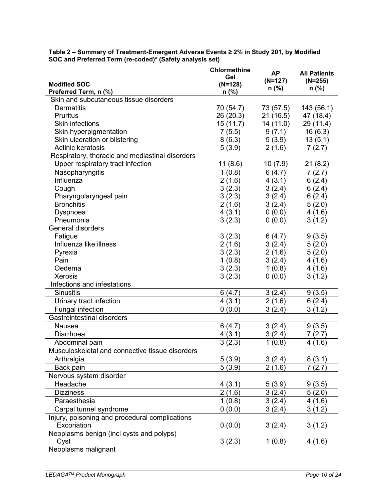| <b>Modified SOC</b>                             | <b>Chlormethine</b><br>Gel<br>$(N=128)$ | <b>AP</b><br>$(N=127)$ | <b>All Patients</b><br>$(N=255)$ |
|-------------------------------------------------|-----------------------------------------|------------------------|----------------------------------|
| Preferred Term, n (%)                           | $n$ (%)                                 | $n$ (%)                | $n$ (%)                          |
| Skin and subcutaneous tissue disorders          |                                         |                        |                                  |
| <b>Dermatitis</b>                               | 70 (54.7)                               | 73 (57.5)              | 143 (56.1)                       |
| <b>Pruritus</b>                                 | 26(20.3)                                | 21 (16.5)              | 47 (18.4)                        |
| <b>Skin infections</b>                          | 15(11.7)                                | 14 (11.0)              | 29 (11.4)                        |
| Skin hyperpigmentation                          |                                         | 9(7.1)                 | 16(6.3)                          |
| Skin ulceration or blistering                   | 7(5.5)                                  |                        |                                  |
| Actinic keratosis                               | 8(6.3)                                  | 5(3.9)                 | 13(5.1)                          |
|                                                 | 5(3.9)                                  | 2(1.6)                 | 7(2.7)                           |
| Respiratory, thoracic and mediastinal disorders |                                         |                        |                                  |
| Upper respiratory tract infection               | 11(8.6)                                 | 10(7.9)                | 21(8.2)                          |
| Nasopharyngitis                                 | 1(0.8)                                  | 6(4.7)                 | 7(2.7)                           |
| Influenza                                       | 2(1.6)                                  | 4(3.1)                 | 6(2.4)                           |
| Cough                                           | 3(2.3)                                  | 3(2.4)                 | 6(2.4)                           |
| Pharyngolaryngeal pain                          | 3(2.3)                                  | 3(2.4)                 | 6(2.4)                           |
| <b>Bronchitis</b>                               | 2(1.6)                                  | 3(2.4)                 | 5(2.0)                           |
| Dyspnoea                                        | 4(3.1)                                  | 0(0.0)                 | 4(1.6)                           |
| Pneumonia                                       | 3(2.3)                                  | 0(0.0)                 | 3(1.2)                           |
| <b>General disorders</b>                        |                                         |                        |                                  |
| Fatigue                                         | 3(2.3)                                  | 6(4.7)                 | 9(3.5)                           |
| Influenza like illness                          | 2(1.6)                                  | 3(2.4)                 | 5(2.0)                           |
| Pyrexia                                         | 3(2.3)                                  | 2(1.6)                 | 5(2.0)                           |
| Pain                                            | 1(0.8)                                  | 3(2.4)                 | 4(1.6)                           |
| Oedema                                          | 3(2.3)                                  | 1(0.8)                 | 4(1.6)                           |
| <b>Xerosis</b>                                  | 3(2.3)                                  | 0(0.0)                 | 3(1.2)                           |
| Infections and infestations                     |                                         |                        |                                  |
| <b>Sinusitis</b>                                | 6(4.7)                                  | 3(2.4)                 | 9(3.5)                           |
| Urinary tract infection                         | 4(3.1)                                  | 2(1.6)                 | 6(2.4)                           |
| <b>Fungal infection</b>                         | 0(0.0)                                  | 3(2.4)                 | 3(1.2)                           |
| <b>Gastrointestinal disorders</b>               |                                         |                        |                                  |
| <b>Nausea</b>                                   | 6(4.7)                                  | 3(2.4)                 | 9(3.5)                           |
| Diarrhoea                                       |                                         |                        |                                  |
|                                                 | 4(3.1)                                  | 3(2.4)                 | 7(2.7)                           |
| Abdominal pain                                  | 3(2.3)                                  | 1(0.8)                 | 4(1.6)                           |
| Musculoskeletal and connective tissue disorders |                                         |                        |                                  |
| Arthralgia                                      | 5(3.9)                                  | 3(2.4)                 | 8(3.1)                           |
| Back pain                                       | 5(3.9)                                  | 2(1.6)                 | 7(2.7)                           |
| Nervous system disorder                         |                                         |                        |                                  |
| Headache                                        | 4(3.1)                                  | 5(3.9)                 | 9(3.5)                           |
| <b>Dizziness</b>                                | 2(1.6)                                  | 3(2.4)                 | 5(2.0)                           |
| Paraesthesia                                    | 1(0.8)                                  | 3(2.4)                 | 4(1.6)                           |
| Carpal tunnel syndrome                          | 0(0.0)                                  | 3(2.4)                 | 3(1.2)                           |
| Injury, poisoning and procedural complications  |                                         |                        |                                  |
| Excoriation                                     | 0(0.0)                                  | 3(2.4)                 | 3(1.2)                           |
| Neoplasms benign (incl cysts and polyps)        |                                         |                        |                                  |
| Cyst                                            | 3(2.3)                                  | 1(0.8)                 | 4(1.6)                           |
| Neoplasms malignant                             |                                         |                        |                                  |
|                                                 |                                         |                        |                                  |

**Table 2 – Summary of Treatment-Emergent Adverse Events ≥ 2% in Study 201, by Modified SOC and Preferred Term (re-coded)<sup>a</sup> (Safety analysis set)**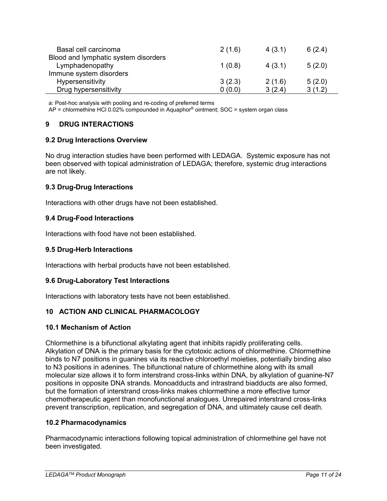| Basal cell carcinoma                 | 2(1.6) | 4(3.1) | 6(2.4) |
|--------------------------------------|--------|--------|--------|
| Blood and lymphatic system disorders |        |        |        |
| Lymphadenopathy                      | 1(0.8) | 4(3.1) | 5(2.0) |
| Immune system disorders              |        |        |        |
| Hypersensitivity                     | 3(2.3) | 2(1.6) | 5(2.0) |
| Drug hypersensitivity                | 0(0.0) | 3(2.4) | 3(1.2) |

a: Post-hoc analysis with pooling and re-coding of preferred terms

<span id="page-10-0"></span>AP = chlormethine HCl 0.02% compounded in Aquaphor® ointment; SOC = system organ class

## **9 DRUG INTERACTIONS**

#### <span id="page-10-1"></span>**9.2 Drug Interactions Overview**

No drug interaction studies have been performed with LEDAGA. Systemic exposure has not been observed with topical administration of LEDAGA; therefore, systemic drug interactions are not likely.

#### <span id="page-10-2"></span>**9.3 Drug-Drug Interactions**

<span id="page-10-3"></span>Interactions with other drugs have not been established.

#### **9.4 Drug-Food Interactions**

<span id="page-10-4"></span>Interactions with food have not been established.

#### **9.5 Drug-Herb Interactions**

<span id="page-10-5"></span>Interactions with herbal products have not been established.

#### **9.6 Drug-Laboratory Test Interactions**

<span id="page-10-6"></span>Interactions with laboratory tests have not been established.

## **10 ACTION AND CLINICAL PHARMACOLOGY**

#### <span id="page-10-7"></span>**10.1 Mechanism of Action**

Chlormethine is a bifunctional alkylating agent that inhibits rapidly proliferating cells. Alkylation of DNA is the primary basis for the cytotoxic actions of chlormethine. Chlormethine binds to N7 positions in guanines via its reactive chloroethyl moieties, potentially binding also to N3 positions in adenines. The bifunctional nature of chlormethine along with its small molecular size allows it to form interstrand cross-links within DNA, by alkylation of guanine-N7 positions in opposite DNA strands. Monoadducts and intrastrand biadducts are also formed, but the formation of interstrand cross-links makes chlormethine a more effective tumor chemotherapeutic agent than monofunctional analogues. Unrepaired interstrand cross-links prevent transcription, replication, and segregation of DNA, and ultimately cause cell death.

#### <span id="page-10-8"></span>**10.2 Pharmacodynamics**

Pharmacodynamic interactions following topical administration of chlormethine gel have not been investigated.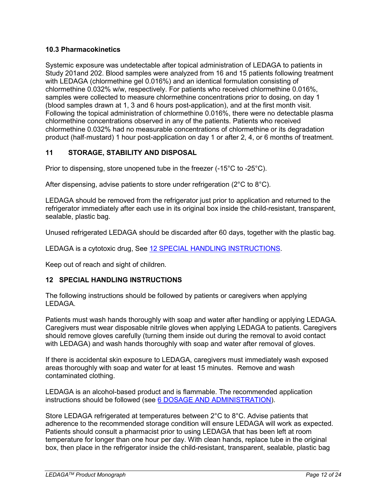## <span id="page-11-0"></span>**10.3 Pharmacokinetics**

Systemic exposure was undetectable after topical administration of LEDAGA to patients in Study 201and 202. Blood samples were analyzed from 16 and 15 patients following treatment with LEDAGA (chlormethine gel 0.016%) and an identical formulation consisting of chlormethine 0.032% w/w, respectively. For patients who received chlormethine 0.016%, samples were collected to measure chlormethine concentrations prior to dosing, on day 1 (blood samples drawn at 1, 3 and 6 hours post-application), and at the first month visit. Following the topical administration of chlormethine 0.016%, there were no detectable plasma chlormethine concentrations observed in any of the patients. Patients who received chlormethine 0.032% had no measurable concentrations of chlormethine or its degradation product (half‐mustard) 1 hour post-application on day 1 or after 2, 4, or 6 months of treatment.

# <span id="page-11-1"></span>**11 STORAGE, STABILITY AND DISPOSAL**

Prior to dispensing, store unopened tube in the freezer (-15°C to -25°C).

After dispensing, advise patients to store under refrigeration (2°C to 8°C).

LEDAGA should be removed from the refrigerator just prior to application and returned to the refrigerator immediately after each use in its original box inside the child-resistant, transparent, sealable, plastic bag.

Unused refrigerated LEDAGA should be discarded after 60 days, together with the plastic bag.

LEDAGA is a cytotoxic drug, See [12 SPECIAL HANDLING INSTRUCTIONS.](#page-11-2)

<span id="page-11-2"></span>Keep out of reach and sight of children.

## **12 SPECIAL HANDLING INSTRUCTIONS**

The following instructions should be followed by patients or caregivers when applying LEDAGA.

Patients must wash hands thoroughly with soap and water after handling or applying LEDAGA. Caregivers must wear disposable nitrile gloves when applying LEDAGA to patients. Caregivers should remove gloves carefully (turning them inside out during the removal to avoid contact with LEDAGA) and wash hands thoroughly with soap and water after removal of gloves.

If there is accidental skin exposure to LEDAGA, caregivers must immediately wash exposed areas thoroughly with soap and water for at least 15 minutes. Remove and wash contaminated clothing.

LEDAGA is an alcohol-based product and is flammable. The recommended application instructions should be followed (see [6 DOSAGE AND ADMINISTRATION\)](#page-5-0).

Store LEDAGA refrigerated at temperatures between 2°C to 8°C. Advise patients that adherence to the recommended storage condition will ensure LEDAGA will work as expected. Patients should consult a pharmacist prior to using LEDAGA that has been left at room temperature for longer than one hour per day. With clean hands, replace tube in the original box, then place in the refrigerator inside the child-resistant, transparent, sealable, plastic bag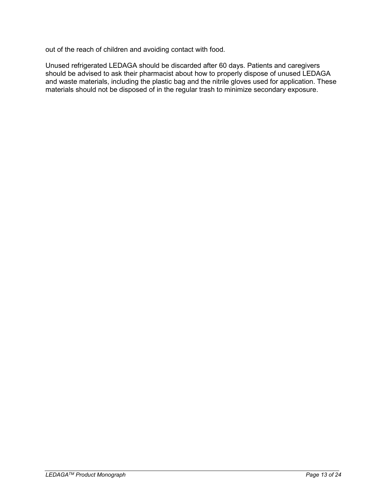out of the reach of children and avoiding contact with food.

Unused refrigerated LEDAGA should be discarded after 60 days. Patients and caregivers should be advised to ask their pharmacist about how to properly dispose of unused LEDAGA and waste materials, including the plastic bag and the nitrile gloves used for application. These materials should not be disposed of in the regular trash to minimize secondary exposure.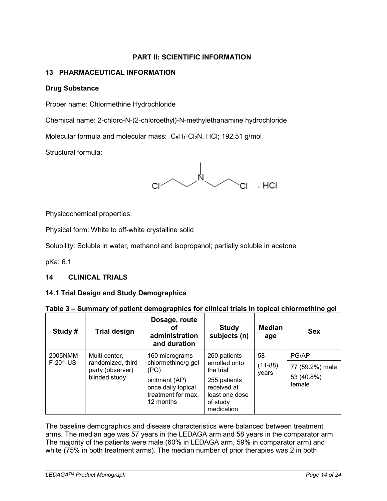# **PART II: SCIENTIFIC INFORMATION**

# <span id="page-13-1"></span><span id="page-13-0"></span>**13 PHARMACEUTICAL INFORMATION**

## **Drug Substance**

Proper name: Chlormethine Hydrochloride

Chemical name: 2-chloro-N-(2-chloroethyl)-N-methylethanamine hydrochloride

Molecular formula and molecular mass:  $C_5H_{11}Cl_2N$ , HCl; 192.51 g/mol

Structural formula:



Physicochemical properties:

Physical form: White to off-white crystalline solid

Solubility: Soluble in water, methanol and isopropanol; partially soluble in acetone

<span id="page-13-2"></span>pKa: 6.1

## **14 CLINICAL TRIALS**

#### <span id="page-13-3"></span>**14.1 Trial Design and Study Demographics**

| Table 3 - Summary of patient demographics for clinical trials in topical chlormethine gel |                                                                         |                                                                                                                        |                                                                                                                       |                          |                                                  |  |
|-------------------------------------------------------------------------------------------|-------------------------------------------------------------------------|------------------------------------------------------------------------------------------------------------------------|-----------------------------------------------------------------------------------------------------------------------|--------------------------|--------------------------------------------------|--|
| Study#                                                                                    | <b>Trial design</b>                                                     | Dosage, route<br>Οt<br>administration<br>and duration                                                                  | <b>Study</b><br>subjects (n)                                                                                          | <b>Median</b><br>age     | <b>Sex</b>                                       |  |
| 2005NMM<br>F-201-US                                                                       | Multi-center,<br>randomized, third<br>party (observer)<br>blinded study | 160 micrograms<br>chlormethine/g gel<br>(PG)<br>ointment (AP)<br>once daily topical<br>treatment for max.<br>12 months | 260 patients<br>enrolled onto<br>the trial<br>255 patients<br>received at<br>least one dose<br>of study<br>medication | 58<br>$(11-88)$<br>years | PG/AP<br>77 (59.2%) male<br>53 (40.8%)<br>female |  |

#### The baseline demographics and disease characteristics were balanced between treatment arms. The median age was 57 years in the LEDAGA arm and 58 years in the comparator arm. The majority of the patients were male (60% in LEDAGA arm, 59% in comparator arm) and white (75% in both treatment arms). The median number of prior therapies was 2 in both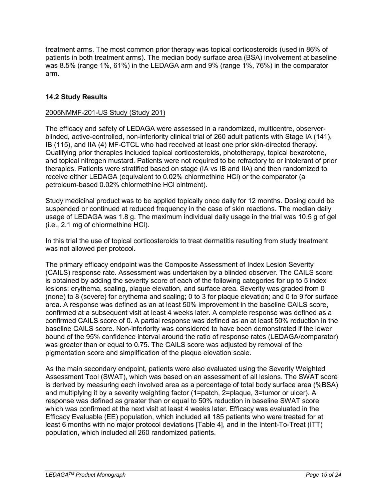treatment arms. The most common prior therapy was topical corticosteroids (used in 86% of patients in both treatment arms). The median body surface area (BSA) involvement at baseline was 8.5% (range 1%, 61%) in the LEDAGA arm and 9% (range 1%, 76%) in the comparator arm.

# <span id="page-14-0"></span>**14.2 Study Results**

#### 2005NMMF-201-US Study (Study 201)

The efficacy and safety of LEDAGA were assessed in a randomized, multicentre, observerblinded, active-controlled, non-inferiority clinical trial of 260 adult patients with Stage IA (141), IB (115), and IIA (4) MF-CTCL who had received at least one prior skin-directed therapy. Qualifying prior therapies included topical corticosteroids, phototherapy, topical bexarotene, and topical nitrogen mustard. Patients were not required to be refractory to or intolerant of prior therapies. Patients were stratified based on stage (IA vs IB and IIA) and then randomized to receive either LEDAGA (equivalent to 0.02% chlormethine HCl) or the comparator (a petroleum-based 0.02% chlormethine HCl ointment).

Study medicinal product was to be applied topically once daily for 12 months. Dosing could be suspended or continued at reduced frequency in the case of skin reactions. The median daily usage of LEDAGA was 1.8 g. The maximum individual daily usage in the trial was 10.5 g of gel (i.e., 2.1 mg of chlormethine HCl).

In this trial the use of topical corticosteroids to treat dermatitis resulting from study treatment was not allowed per protocol.

The primary efficacy endpoint was the Composite Assessment of Index Lesion Severity (CAILS) response rate. Assessment was undertaken by a blinded observer. The CAILS score is obtained by adding the severity score of each of the following categories for up to 5 index lesions: erythema, scaling, plaque elevation, and surface area. Severity was graded from 0 (none) to 8 (severe) for erythema and scaling; 0 to 3 for plaque elevation; and 0 to 9 for surface area. A response was defined as an at least 50% improvement in the baseline CAILS score, confirmed at a subsequent visit at least 4 weeks later. A complete response was defined as a confirmed CAILS score of 0. A partial response was defined as an at least 50% reduction in the baseline CAILS score. Non-inferiority was considered to have been demonstrated if the lower bound of the 95% confidence interval around the ratio of response rates (LEDAGA/comparator) was greater than or equal to 0.75. The CAILS score was adjusted by removal of the pigmentation score and simplification of the plaque elevation scale.

As the main secondary endpoint, patients were also evaluated using the Severity Weighted Assessment Tool (SWAT), which was based on an assessment of all lesions. The SWAT score is derived by measuring each involved area as a percentage of total body surface area (%BSA) and multiplying it by a severity weighting factor (1=patch, 2=plaque, 3=tumor or ulcer). A response was defined as greater than or equal to 50% reduction in baseline SWAT score which was confirmed at the next visit at least 4 weeks later. Efficacy was evaluated in the Efficacy Evaluable (EE) population, which included all 185 patients who were treated for at least 6 months with no major protocol deviations [Table 4], and in the Intent-To-Treat (ITT) population, which included all 260 randomized patients.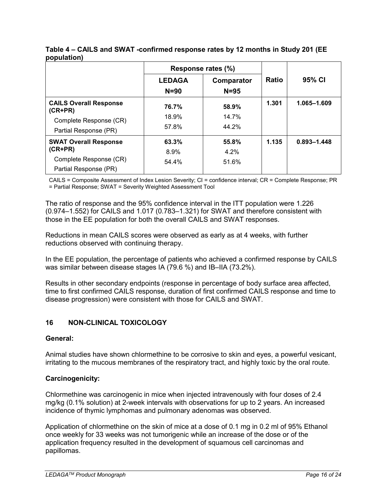|                                            | Response rates (%)        |                        |              |                 |
|--------------------------------------------|---------------------------|------------------------|--------------|-----------------|
|                                            | <b>LEDAGA</b><br>$N = 90$ | Comparator<br>$N = 95$ | <b>Ratio</b> | 95% CI          |
| <b>CAILS Overall Response</b><br>$(CR+PR)$ | 76.7%                     | 58.9%                  | 1.301        | 1.065-1.609     |
| Complete Response (CR)                     | 18.9%                     | 14.7%                  |              |                 |
| Partial Response (PR)                      | 57.8%                     | 44.2%                  |              |                 |
| <b>SWAT Overall Response</b>               | 63.3%                     | 55.8%                  | 1.135        | $0.893 - 1.448$ |
| $(CR+PR)$                                  | 8.9%                      | 4.2%                   |              |                 |
| Complete Response (CR)                     | 54.4%                     | 51.6%                  |              |                 |
| Partial Response (PR)                      |                           |                        |              |                 |

# **Table 4 – CAILS and SWAT -confirmed response rates by 12 months in Study 201 (EE population)**

CAILS = Composite Assessment of Index Lesion Severity; CI = confidence interval; CR = Complete Response; PR = Partial Response; SWAT = Severity Weighted Assessment Tool

The ratio of response and the 95% confidence interval in the ITT population were 1.226 (0.974–1.552) for CAILS and 1.017 (0.783–1.321) for SWAT and therefore consistent with those in the EE population for both the overall CAILS and SWAT responses.

Reductions in mean CAILS scores were observed as early as at 4 weeks, with further reductions observed with continuing therapy.

In the EE population, the percentage of patients who achieved a confirmed response by CAILS was similar between disease stages IA (79.6 %) and IB–IIA (73.2%).

Results in other secondary endpoints (response in percentage of body surface area affected, time to first confirmed CAILS response, duration of first confirmed CAILS response and time to disease progression) were consistent with those for CAILS and SWAT.

# <span id="page-15-0"></span>**16 NON-CLINICAL TOXICOLOGY**

## **General:**

Animal studies have shown chlormethine to be corrosive to skin and eyes, a powerful vesicant, irritating to the mucous membranes of the respiratory tract, and highly toxic by the oral route.

## **Carcinogenicity:**

Chlormethine was carcinogenic in mice when injected intravenously with four doses of 2.4 mg/kg (0.1% solution) at 2-week intervals with observations for up to 2 years. An increased incidence of thymic lymphomas and pulmonary adenomas was observed.

Application of chlormethine on the skin of mice at a dose of 0.1 mg in 0.2 ml of 95% Ethanol once weekly for 33 weeks was not tumorigenic while an increase of the dose or of the application frequency resulted in the development of squamous cell carcinomas and papillomas.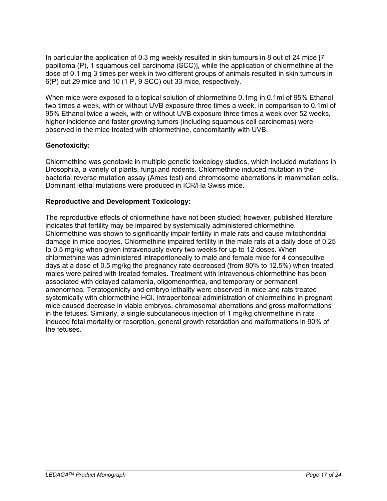In particular the application of 0.3 mg weekly resulted in skin tumours in 8 out of 24 mice [7 papilloma (P), 1 squamous cell carcinoma (SCC)], while the application of chlormethine at the dose of 0.1 mg 3 times per week in two different groups of animals resulted in skin tumours in 6(P) out 29 mice and 10 (1 P, 9 SCC) out 33 mice, respectively.

When mice were exposed to a topical solution of chlormethine 0.1mg in 0.1ml of 95% Ethanol two times a week, with or without UVB exposure three times a week, in comparison to 0.1ml of 95% Ethanol twice a week, with or without UVB exposure three times a week over 52 weeks, higher incidence and faster growing tumors (including squamous cell carcinomas) were observed in the mice treated with chlormethine, concomitantly with UVB.

# **Genotoxicity:**

Chlormethine was genotoxic in multiple genetic toxicology studies, which included mutations in Drosophila, a variety of plants, fungi and rodents. Chlormethine induced mutation in the bacterial reverse mutation assay (Ames test) and chromosome aberrations in mammalian cells. Dominant lethal mutations were produced in ICR/Ha Swiss mice.

# **Reproductive and Development Toxicology:**

The reproductive effects of chlormethine have not been studied; however, published literature indicates that fertility may be impaired by systemically administered chlormethine. Chlormethine was shown to significantly impair fertility in male rats and cause mitochondrial damage in mice oocytes. Chlormethine impaired fertility in the male rats at a daily dose of 0.25 to 0.5 mg/kg when given intravenously every two weeks for up to 12 doses. When chlormethine was administered intraperitoneally to male and female mice for 4 consecutive days at a dose of 0.5 mg/kg the pregnancy rate decreased (from 80% to 12.5%) when treated males were paired with treated females. Treatment with intravenous chlormethine has been associated with delayed catamenia, oligomenorrhea, and temporary or permanent amenorrhea. Teratogenicity and embryo lethality were observed in mice and rats treated systemically with chlormethine HCl. Intraperitoneal administration of chlormethine in pregnant mice caused decrease in viable embryos, chromosomal aberrations and gross malformations in the fetuses. Similarly, a single subcutaneous injection of 1 mg/kg chlormethine in rats induced fetal mortality or resorption, general growth retardation and malformations in 90% of the fetuses.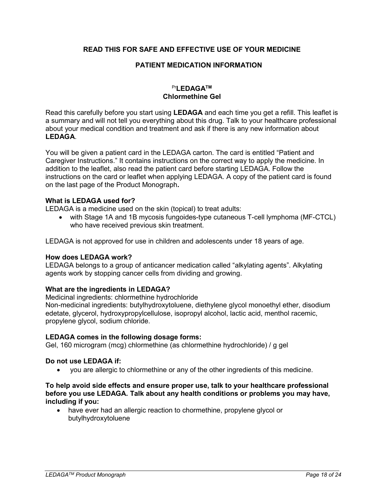## <span id="page-17-0"></span>**READ THIS FOR SAFE AND EFFECTIVE USE OF YOUR MEDICINE**

## **PATIENT MEDICATION INFORMATION**

## Pr**LEDAGATM Chlormethine Gel**

Read this carefully before you start using **LEDAGA** and each time you get a refill. This leaflet is a summary and will not tell you everything about this drug. Talk to your healthcare professional about your medical condition and treatment and ask if there is any new information about **LEDAGA**.

You will be given a patient card in the LEDAGA carton. The card is entitled "Patient and Caregiver Instructions." It contains instructions on the correct way to apply the medicine. In addition to the leaflet, also read the patient card before starting LEDAGA. Follow the instructions on the card or leaflet when applying LEDAGA. A copy of the patient card is found on the last page of the Product Monograph**.**

#### **What is LEDAGA used for?**

LEDAGA is a medicine used on the skin (topical) to treat adults:

• with Stage 1A and 1B mycosis fungoides-type cutaneous T-cell lymphoma (MF-CTCL) who have received previous skin treatment.

LEDAGA is not approved for use in children and adolescents under 18 years of age.

#### **How does LEDAGA work?**

LEDAGA belongs to a group of anticancer medication called "alkylating agents". Alkylating agents work by stopping cancer cells from dividing and growing.

#### **What are the ingredients in LEDAGA?**

Medicinal ingredients: chlormethine hydrochloride

Non-medicinal ingredients: butylhydroxytoluene, diethylene glycol monoethyl ether, disodium edetate, glycerol, hydroxypropylcellulose, isopropyl alcohol, lactic acid, menthol racemic, propylene glycol, sodium chloride.

#### **LEDAGA comes in the following dosage forms:**

Gel, 160 microgram (mcg) chlormethine (as chlormethine hydrochloride) / g gel

#### **Do not use LEDAGA if:**

• you are allergic to chlormethine or any of the other ingredients of this medicine.

#### **To help avoid side effects and ensure proper use, talk to your healthcare professional before you use LEDAGA. Talk about any health conditions or problems you may have, including if you:**

• have ever had an allergic reaction to chormethine, propylene glycol or butylhydroxytoluene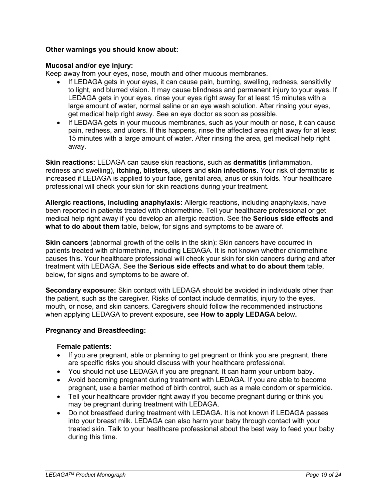## **Other warnings you should know about:**

## **Mucosal and/or eye injury:**

Keep away from your eyes, nose, mouth and other mucous membranes.

- If LEDAGA gets in your eyes, it can cause pain, burning, swelling, redness, sensitivity to light, and blurred vision. It may cause blindness and permanent injury to your eyes. If LEDAGA gets in your eyes, rinse your eyes right away for at least 15 minutes with a large amount of water, normal saline or an eye wash solution. After rinsing your eyes, get medical help right away. See an eye doctor as soon as possible.
- If LEDAGA gets in your mucous membranes, such as your mouth or nose, it can cause pain, redness, and ulcers. If this happens, rinse the affected area right away for at least 15 minutes with a large amount of water. After rinsing the area, get medical help right away.

**Skin reactions:** LEDAGA can cause skin reactions, such as **dermatitis** (inflammation, redness and swelling), **itching, blisters, ulcers** and **skin infections**. Your risk of dermatitis is increased if LEDAGA is applied to your face, genital area, anus or skin folds. Your healthcare professional will check your skin for skin reactions during your treatment.

**Allergic reactions, including anaphylaxis:** Allergic reactions, including anaphylaxis, have been reported in patients treated with chlormethine. Tell your healthcare professional or get medical help right away if you develop an allergic reaction. See the **Serious side effects and what to do about them** table, below, for signs and symptoms to be aware of.

**Skin cancers** (abnormal growth of the cells in the skin): Skin cancers have occurred in patients treated with chlormethine, including LEDAGA. It is not known whether chlormethine causes this. Your healthcare professional will check your skin for skin cancers during and after treatment with LEDAGA. See the **Serious side effects and what to do about them** table, below, for signs and symptoms to be aware of.

**Secondary exposure:** Skin contact with LEDAGA should be avoided in individuals other than the patient, such as the caregiver. Risks of contact include dermatitis, injury to the eyes, mouth, or nose, and skin cancers. Caregivers should follow the recommended instructions when applying LEDAGA to prevent exposure, see **How to apply LEDAGA** below**.**

## **Pregnancy and Breastfeeding:**

#### **Female patients:**

- If you are pregnant, able or planning to get pregnant or think you are pregnant, there are specific risks you should discuss with your healthcare professional.
- You should not use LEDAGA if you are pregnant. It can harm your unborn baby.
- Avoid becoming pregnant during treatment with LEDAGA. If you are able to become pregnant, use a barrier method of birth control, such as a male condom or spermicide.
- Tell your healthcare provider right away if you become pregnant during or think you may be pregnant during treatment with LEDAGA.
- Do not breastfeed during treatment with LEDAGA. It is not known if LEDAGA passes into your breast milk. LEDAGA can also harm your baby through contact with your treated skin. Talk to your healthcare professional about the best way to feed your baby during this time.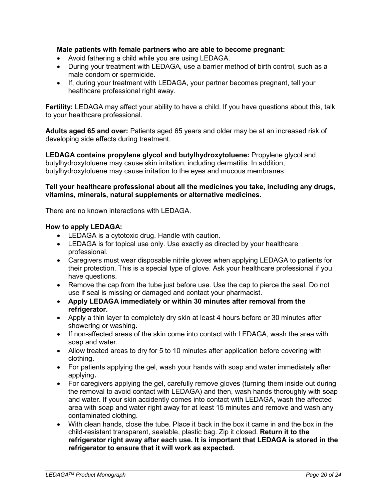## **Male patients with female partners who are able to become pregnant:**

- Avoid fathering a child while you are using LEDAGA.
- During your treatment with LEDAGA, use a barrier method of birth control, such as a male condom or spermicide.
- If, during your treatment with LEDAGA, your partner becomes pregnant, tell your healthcare professional right away.

**Fertility:** LEDAGA may affect your ability to have a child. If you have questions about this, talk to your healthcare professional.

**Adults aged 65 and over:** Patients aged 65 years and older may be at an increased risk of developing side effects during treatment.

**LEDAGA contains propylene glycol and butylhydroxytoluene:** Propylene glycol and butylhydroxytoluene may cause skin irritation, including dermatitis. In addition, butylhydroxytoluene may cause irritation to the eyes and mucous membranes.

#### **Tell your healthcare professional about all the medicines you take, including any drugs, vitamins, minerals, natural supplements or alternative medicines.**

There are no known interactions with LEDAGA.

## **How to apply LEDAGA:**

- LEDAGA is a cytotoxic drug. Handle with caution.
- LEDAGA is for topical use only. Use exactly as directed by your healthcare professional.
- Caregivers must wear disposable nitrile gloves when applying LEDAGA to patients for their protection. This is a special type of glove. Ask your healthcare professional if you have questions.
- Remove the cap from the tube just before use. Use the cap to pierce the seal. Do not use if seal is missing or damaged and contact your pharmacist.
- **Apply LEDAGA immediately or within 30 minutes after removal from the refrigerator.**
- Apply a thin layer to completely dry skin at least 4 hours before or 30 minutes after showering or washing**.**
- If non-affected areas of the skin come into contact with LEDAGA, wash the area with soap and water.
- Allow treated areas to dry for 5 to 10 minutes after application before covering with clothing**.**
- For patients applying the gel, wash your hands with soap and water immediately after applying**.**
- For caregivers applying the gel, carefully remove gloves (turning them inside out during the removal to avoid contact with LEDAGA) and then, wash hands thoroughly with soap and water. If your skin accidently comes into contact with LEDAGA, wash the affected area with soap and water right away for at least 15 minutes and remove and wash any contaminated clothing.
- With clean hands, close the tube. Place it back in the box it came in and the box in the child-resistant transparent, sealable, plastic bag. Zip it closed. **Return it to the refrigerator right away after each use. It is important that LEDAGA is stored in the refrigerator to ensure that it will work as expected.**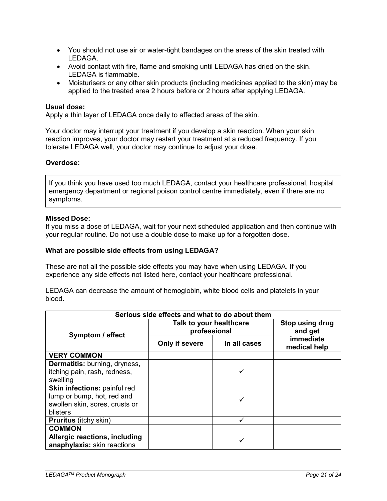- You should not use air or water-tight bandages on the areas of the skin treated with LEDAGA.
- Avoid contact with fire, flame and smoking until LEDAGA has dried on the skin. LEDAGA is flammable.
- Moisturisers or any other skin products (including medicines applied to the skin) may be applied to the treated area 2 hours before or 2 hours after applying LEDAGA.

#### **Usual dose:**

Apply a thin layer of LEDAGA once daily to affected areas of the skin.

Your doctor may interrupt your treatment if you develop a skin reaction. When your skin reaction improves, your doctor may restart your treatment at a reduced frequency. If you tolerate LEDAGA well, your doctor may continue to adjust your dose.

#### **Overdose:**

If you think you have used too much LEDAGA, contact your healthcare professional, hospital emergency department or regional poison control centre immediately, even if there are no symptoms.

#### **Missed Dose:**

If you miss a dose of LEDAGA, wait for your next scheduled application and then continue with your regular routine. Do not use a double dose to make up for a forgotten dose.

#### **What are possible side effects from using LEDAGA?**

These are not all the possible side effects you may have when using LEDAGA. If you experience any side effects not listed here, contact your healthcare professional.

LEDAGA can decrease the amount of hemoglobin, white blood cells and platelets in your blood.

| Serious side effects and what to do about them |                                         |              |                                  |  |  |
|------------------------------------------------|-----------------------------------------|--------------|----------------------------------|--|--|
| Symptom / effect                               | Talk to your healthcare<br>professional |              | Stop using drug<br>and get       |  |  |
|                                                | Only if severe                          | In all cases | <b>immediate</b><br>medical help |  |  |
| <b>VERY COMMON</b>                             |                                         |              |                                  |  |  |
| <b>Dermatitis:</b> burning, dryness,           |                                         |              |                                  |  |  |
| itching pain, rash, redness,                   |                                         |              |                                  |  |  |
| swelling                                       |                                         |              |                                  |  |  |
| Skin infections: painful red                   |                                         |              |                                  |  |  |
| lump or bump, hot, red and                     |                                         |              |                                  |  |  |
| swollen skin, sores, crusts or                 |                                         |              |                                  |  |  |
| blisters                                       |                                         |              |                                  |  |  |
| <b>Pruritus</b> (itchy skin)                   |                                         |              |                                  |  |  |
| <b>COMMON</b>                                  |                                         |              |                                  |  |  |
| Allergic reactions, including                  |                                         |              |                                  |  |  |
| anaphylaxis: skin reactions                    |                                         |              |                                  |  |  |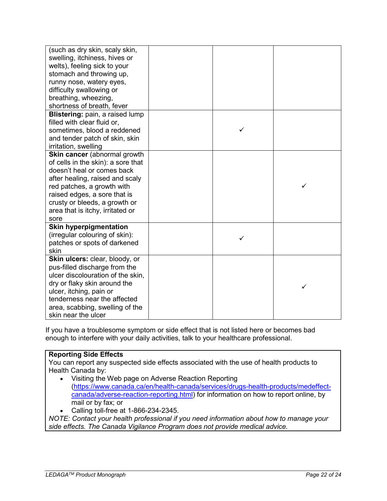| (such as dry skin, scaly skin,<br>swelling, itchiness, hives or<br>welts), feeling sick to your<br>stomach and throwing up,<br>runny nose, watery eyes,<br>difficulty swallowing or<br>breathing, wheezing,<br>shortness of breath, fever                                      |   |   |
|--------------------------------------------------------------------------------------------------------------------------------------------------------------------------------------------------------------------------------------------------------------------------------|---|---|
| Blistering: pain, a raised lump<br>filled with clear fluid or,<br>sometimes, blood a reddened<br>and tender patch of skin, skin<br>irritation, swelling                                                                                                                        | ✓ |   |
| Skin cancer (abnormal growth<br>of cells in the skin): a sore that<br>doesn't heal or comes back<br>after healing, raised and scaly<br>red patches, a growth with<br>raised edges, a sore that is<br>crusty or bleeds, a growth or<br>area that is itchy, irritated or<br>sore |   | ✓ |
| <b>Skin hyperpigmentation</b><br>(irregular colouring of skin):<br>patches or spots of darkened<br>skin                                                                                                                                                                        | ✓ |   |
| Skin ulcers: clear, bloody, or<br>pus-filled discharge from the<br>ulcer discolouration of the skin.<br>dry or flaky skin around the<br>ulcer, itching, pain or<br>tenderness near the affected<br>area, scabbing, swelling of the<br>skin near the ulcer                      |   | ✓ |

If you have a troublesome symptom or side effect that is not listed here or becomes bad enough to interfere with your daily activities, talk to your healthcare professional.

## **Reporting Side Effects**

You can report any suspected side effects associated with the use of health products to Health Canada by:

- Visiting the Web page on Adverse Reaction Reporting [\(https://www.canada.ca/en/health-canada/services/drugs-health-products/medeffect](https://www.canada.ca/en/health-canada/services/drugs-health-products/medeffect-canada/adverse-reaction-reporting.html)[canada/adverse-reaction-reporting.html\)](https://www.canada.ca/en/health-canada/services/drugs-health-products/medeffect-canada/adverse-reaction-reporting.html) for information on how to report online, by mail or by fax; or
- Calling toll-free at 1-866-234-2345.

*NOTE: Contact your health professional if you need information about how to manage your side effects. The Canada Vigilance Program does not provide medical advice.*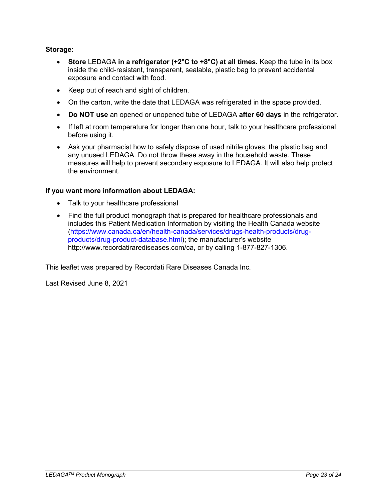# **Storage:**

- **Store** LEDAGA **in a refrigerator (+2°C to +8°C) at all times.** Keep the tube in its box inside the child-resistant, transparent, sealable, plastic bag to prevent accidental exposure and contact with food.
- Keep out of reach and sight of children.
- On the carton, write the date that LEDAGA was refrigerated in the space provided.
- **Do NOT use** an opened or unopened tube of LEDAGA **after 60 days** in the refrigerator.
- If left at room temperature for longer than one hour, talk to your healthcare professional before using it.
- Ask your pharmacist how to safely dispose of used nitrile gloves, the plastic bag and any unused LEDAGA. Do not throw these away in the household waste. These measures will help to prevent secondary exposure to LEDAGA. It will also help protect the environment.

## **If you want more information about LEDAGA:**

- Talk to your healthcare professional
- Find the full product monograph that is prepared for healthcare professionals and includes this Patient Medication Information by visiting the Health Canada website [\(https://www.canada.ca/en/health-canada/services/drugs-health-products/drug](https://www.canada.ca/en/health-canada/services/drugs-health-products/drug-products/drug-product-database.html)[products/drug-product-database.html\)](https://www.canada.ca/en/health-canada/services/drugs-health-products/drug-products/drug-product-database.html); the manufacturer's website http://www.recordatirarediseases.com/ca, or by calling 1-877-827-1306.

This leaflet was prepared by Recordati Rare Diseases Canada Inc.

Last Revised June 8, 2021